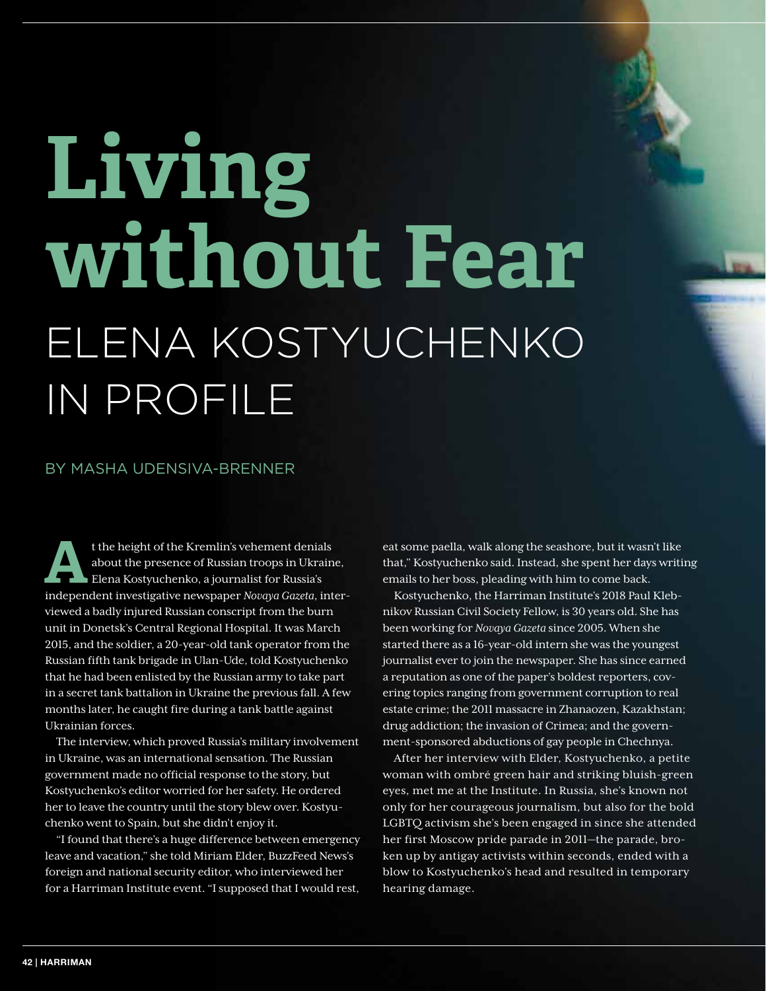## **Living without Fear** ELENA KOSTYUCHENKO IN PROFILE

## BY MASHA UDENSIVA-BRENNER

t the height of the Kremlin's vehement denials<br>about the presence of Russian troops in Ukrain<br>Elena Kostyuchenko, a journalist for Russia's<br>independent investigation payments Newsle Gasets, int about the presence of Russian troops in Ukraine, Elena Kostyuchenko, a journalist for Russia's independent investigative newspaper *Novaya Gazeta*, interviewed a badly injured Russian conscript from the burn unit in Donetsk's Central Regional Hospital. It was March 2015, and the soldier, a 20-year-old tank operator from the Russian fifth tank brigade in Ulan-Ude, told Kostyuchenko that he had been enlisted by the Russian army to take part in a secret tank battalion in Ukraine the previous fall. A few months later, he caught fire during a tank battle against Ukrainian forces.

The interview, which proved Russia's military involvement in Ukraine, was an international sensation. The Russian government made no official response to the story, but Kostyuchenko's editor worried for her safety. He ordered her to leave the country until the story blew over. Kostyuchenko went to Spain, but she didn't enjoy it.

"I found that there's a huge difference between emergency leave and vacation," she told Miriam Elder, BuzzFeed News's foreign and national security editor, who interviewed her for a Harriman Institute event. "I supposed that I would rest,

eat some paella, walk along the seashore, but it wasn't like that," Kostyuchenko said. Instead, she spent her days writing emails to her boss, pleading with him to come back.

Kostyuchenko, the Harriman Institute's 2018 Paul Klebnikov Russian Civil Society Fellow, is 30 years old. She has been working for *Novaya Gazeta* since 2005. When she started there as a 16-year-old intern she was the youngest journalist ever to join the newspaper. She has since earned a reputation as one of the paper's boldest reporters, covering topics ranging from government corruption to real estate crime; the 2011 massacre in Zhanaozen, Kazakhstan; drug addiction; the invasion of Crimea; and the government-sponsored abductions of gay people in Chechnya.

After her interview with Elder, Kostyuchenko, a petite woman with ombré green hair and striking bluish-green eyes, met me at the Institute. In Russia, she's known not only for her courageous journalism, but also for the bold LGBTQ activism she's been engaged in since she attended her first Moscow pride parade in 2011—the parade, broken up by antigay activists within seconds, ended with a blow to Kostyuchenko's head and resulted in temporary hearing damage.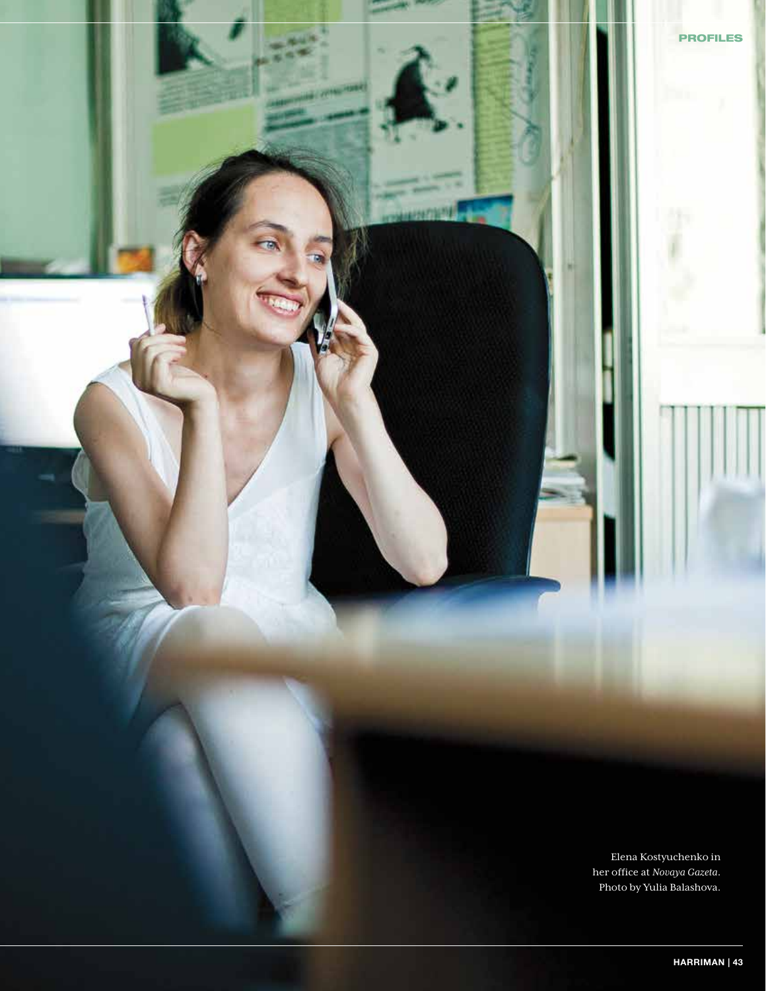Elena Kostyuchenko in her office at *Novaya Gazeta*. Photo by Yulia Balashova.

PROFILES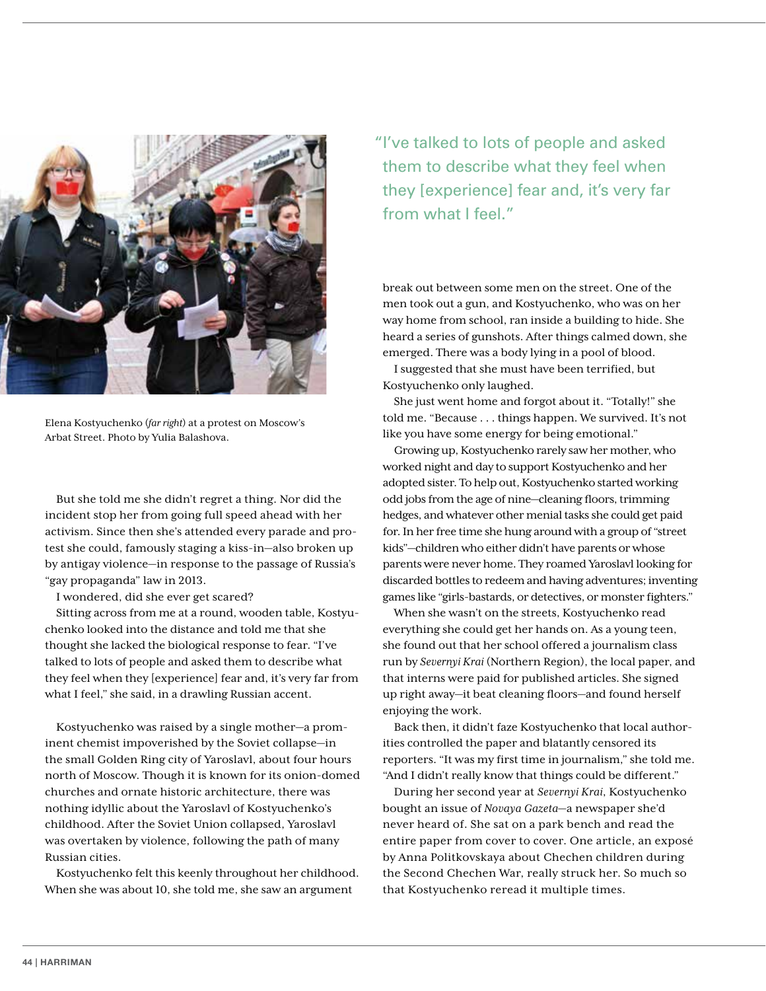

Elena Kostyuchenko (*far right*) at a protest on Moscow's Arbat Street. Photo by Yulia Balashova.

But she told me she didn't regret a thing. Nor did the incident stop her from going full speed ahead with her activism. Since then she's attended every parade and protest she could, famously staging a kiss-in—also broken up by antigay violence—in response to the passage of Russia's "gay propaganda" law in 2013.

I wondered, did she ever get scared?

Sitting across from me at a round, wooden table, Kostyuchenko looked into the distance and told me that she thought she lacked the biological response to fear. "I've talked to lots of people and asked them to describe what they feel when they [experience] fear and, it's very far from what I feel," she said, in a drawling Russian accent.

Kostyuchenko was raised by a single mother—a prominent chemist impoverished by the Soviet collapse—in the small Golden Ring city of Yaroslavl, about four hours north of Moscow. Though it is known for its onion-domed churches and ornate historic architecture, there was nothing idyllic about the Yaroslavl of Kostyuchenko's childhood. After the Soviet Union collapsed, Yaroslavl was overtaken by violence, following the path of many Russian cities.

Kostyuchenko felt this keenly throughout her childhood. When she was about 10, she told me, she saw an argument

"I've talked to lots of people and asked them to describe what they feel when they [experience] fear and, it's very far from what I feel."

break out between some men on the street. One of the men took out a gun, and Kostyuchenko, who was on her way home from school, ran inside a building to hide. She heard a series of gunshots. After things calmed down, she emerged. There was a body lying in a pool of blood.

I suggested that she must have been terrified, but Kostyuchenko only laughed.

She just went home and forgot about it. "Totally!" she told me. "Because . . . things happen. We survived. It's not like you have some energy for being emotional."

Growing up, Kostyuchenko rarely saw her mother, who worked night and day to support Kostyuchenko and her adopted sister. To help out, Kostyuchenko started working odd jobs from the age of nine—cleaning floors, trimming hedges, and whatever other menial tasks she could get paid for. In her free time she hung around with a group of "street kids"—children who either didn't have parents or whose parents were never home. They roamed Yaroslavl looking for discarded bottles to redeem and having adventures; inventing games like "girls-bastards, or detectives, or monster fighters."

When she wasn't on the streets, Kostyuchenko read everything she could get her hands on. As a young teen, she found out that her school offered a journalism class run by *Severnyi Krai* (Northern Region), the local paper, and that interns were paid for published articles. She signed up right away—it beat cleaning floors—and found herself enjoying the work.

Back then, it didn't faze Kostyuchenko that local authorities controlled the paper and blatantly censored its reporters. "It was my first time in journalism," she told me. "And I didn't really know that things could be different."

During her second year at *Severnyi Krai*, Kostyuchenko bought an issue of *Novaya Gazeta*—a newspaper she'd never heard of. She sat on a park bench and read the entire paper from cover to cover. One article, an exposé by Anna Politkovskaya about Chechen children during the Second Chechen War, really struck her. So much so that Kostyuchenko reread it multiple times.